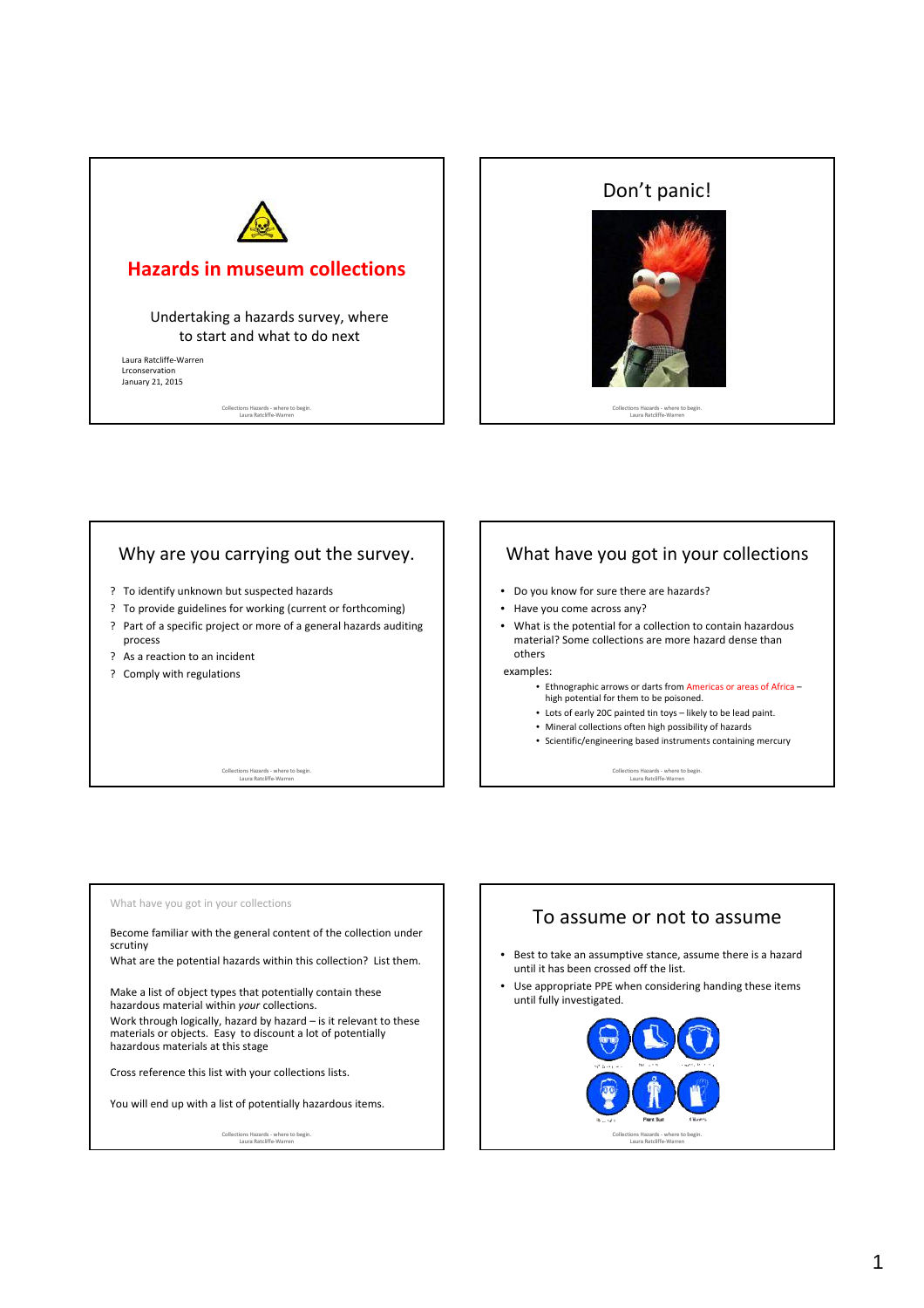

Collections Hazards ‐ where to begin. Laura Ratcliffe‐Warren



#### Why are you carrying out the survey.

- ? To identify unknown but suspected hazards
- ? To provide guidelines for working (current or forthcoming)
- ? Part of a specific project or more of a general hazards auditing process
- ? As a reaction to an incident
- ? Comply with regulations

Collections Hazards ‐ where to begin. Laura Ratcliffe‐Warren

# What have you got in your collections

- Do you know for sure there are hazards?
- Have you come across any?
- What is the potential for a collection to contain hazardous material? Some collections are more hazard dense than others

#### examples:

- Ethnographic arrows or darts from Americas or areas of Africa high potential for them to be poisoned.
- Lots of early 20C painted tin toys likely to be lead paint.
- Mineral collections often high possibility of hazards
- Scientific/engineering based instruments containing mercury

Collections Hazards ‐ where to begin. Laura Ratcliffe‐Warren

What have you got in your collections

Become familiar with the general content of the collection under scrutiny

What are the potential hazards within this collection? List them.

Make a list of object types that potentially contain these hazardous material within *your* collections.

Work through logically, hazard by hazard – is it relevant to these materials or objects. Easy to discount a lot of potentially hazardous materials at this stage

Cross reference this list with your collections lists.

You will end up with a list of potentially hazardous items.

Collections Hazards ‐ where to begin. Laura Ratcliffe‐Warren

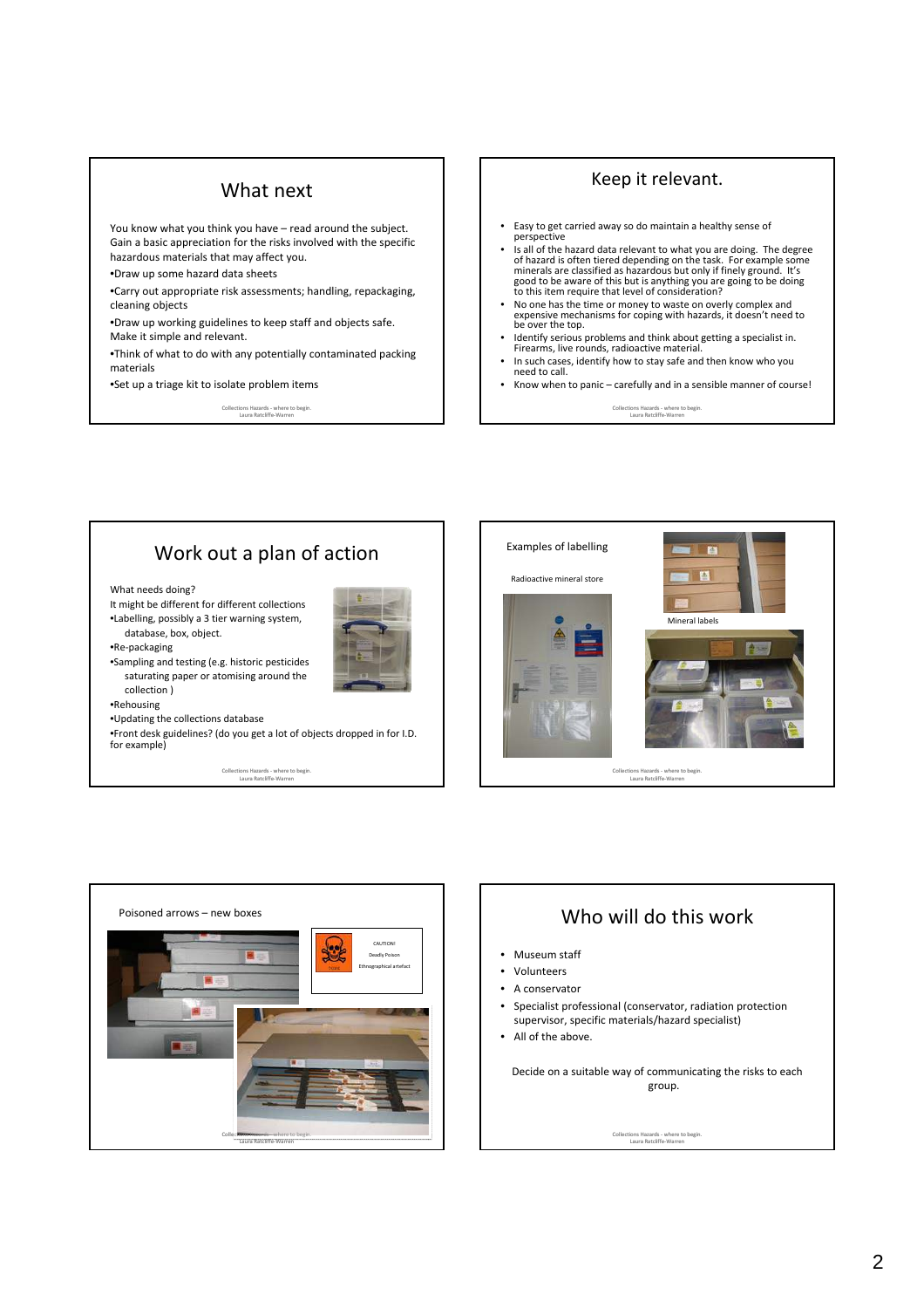### What next

You know what you think you have – read around the subject. Gain a basic appreciation for the risks involved with the specific hazardous materials that may affect you.

•Draw up some hazard data sheets

•Carry out appropriate risk assessments; handling, repackaging, cleaning objects

•Draw up working guidelines to keep staff and objects safe. Make it simple and relevant.

•Think of what to do with any potentially contaminated packing materials

•Set up a triage kit to isolate problem items

Collections Hazards ‐ where to begin. Laura Ratcliffe‐Warren

#### Keep it relevant.

- Easy to get carried away so do maintain a healthy sense of perspective
- Is all of the hazard data relevant to what you are doing. The degree of hazard is often tiered depending on the task. For example some minerals are classified as hazardous but only if finely ground. It's minerials are classified as incapality and to be aware of this but is anything you are going to be doing to this item require that level of consideration?
- No one has the time or money to waste on overly complex and expensive mechanisms for coping with hazards, it doesn't need to be over the top.
- Identify serious problems and think about getting <sup>a</sup> specialist in. Firearms, live rounds, radioactive material.
- In such cases, identify how to stay safe and then know who you need to call.
- Know when to panic carefully and in a sensible manner of course!

Collections Hazards ‐ where to begin. Laura Ratcliffe‐Warren





## Who will do this work

- Museum staff
- Volunteers
- A conservator
- Specialist professional (conservator, radiation protection supervisor, specific materials/hazard specialist)
- All of the above.

Decide on a suitable way of communicating the risks to each group.

Collections Hazards ‐ where to begin. Laura Ratcliffe‐Warren